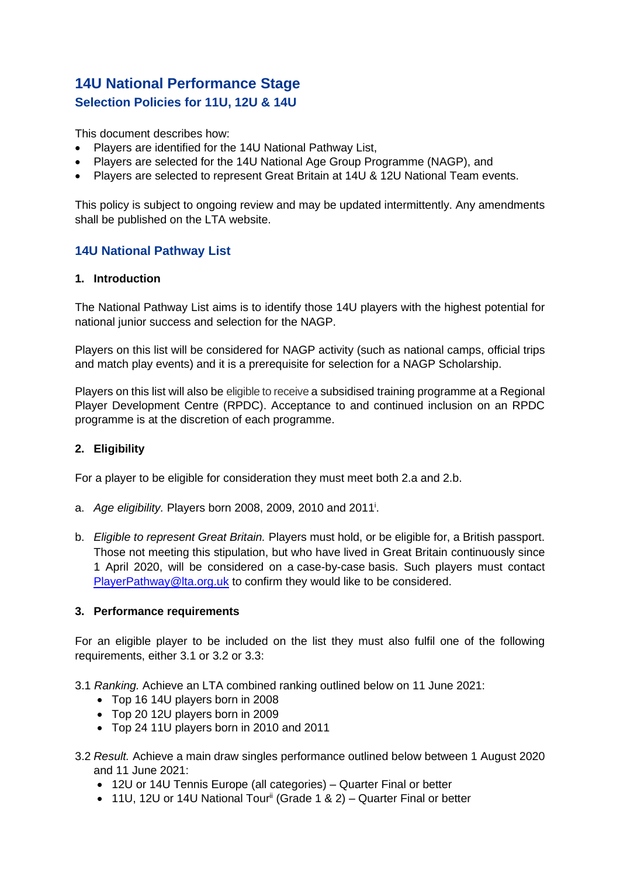# **14U National Performance Stage Selection Policies for 11U, 12U & 14U**

This document describes how:

- Players are identified for the 14U National Pathway List,
- Players are selected for the 14U National Age Group Programme (NAGP), and
- Players are selected to represent Great Britain at 14U & 12U National Team events.

This policy is subject to ongoing review and may be updated intermittently. Any amendments shall be published on the LTA website.

# **14U National Pathway List**

#### **1. Introduction**

The National Pathway List aims is to identify those 14U players with the highest potential for national junior success and selection for the NAGP.

Players on this list will be considered for NAGP activity (such as national camps, official trips and match play events) and it is a prerequisite for selection for a NAGP Scholarship.

Players on this list will also be eligible to receive a subsidised training programme at a Regional Player Development Centre (RPDC). Acceptance to and continued inclusion on an RPDC programme is at the discretion of each programme.

### **2. Eligibility**

For a player to be eligible for consideration they must meet both 2.a and 2.b.

- a. *Age eligibility.* Players born 2008, 2009, 2010 and 2011<sup>i</sup> .
- b. *Eligible to represent Great Britain.* Players must hold, or be eligible for, a British passport. Those not meeting this stipulation, but who have lived in Great Britain continuously since 1 April 2020, will be considered on a case-by-case basis. Such players must contact [PlayerPathway@lta.org.uk](mailto:PlayerPathway@lta.org.uk) to confirm they would like to be considered.

### **3. Performance requirements**

For an eligible player to be included on the list they must also fulfil one of the following requirements, either 3.1 or 3.2 or 3.3:

3.1 *Ranking.* Achieve an LTA combined ranking outlined below on 11 June 2021:

- Top 16 14U players born in 2008
- Top 20 12U players born in 2009
- Top 24 11U players born in 2010 and 2011
- 3.2 *Result.* Achieve a main draw singles performance outlined below between 1 August 2020 and 11 June 2021:
	- 12U or 14U Tennis Europe (all categories) Quarter Final or better
	- 11U, 12U or 14U National Tour<sup>ii</sup> (Grade 1 & 2) Quarter Final or better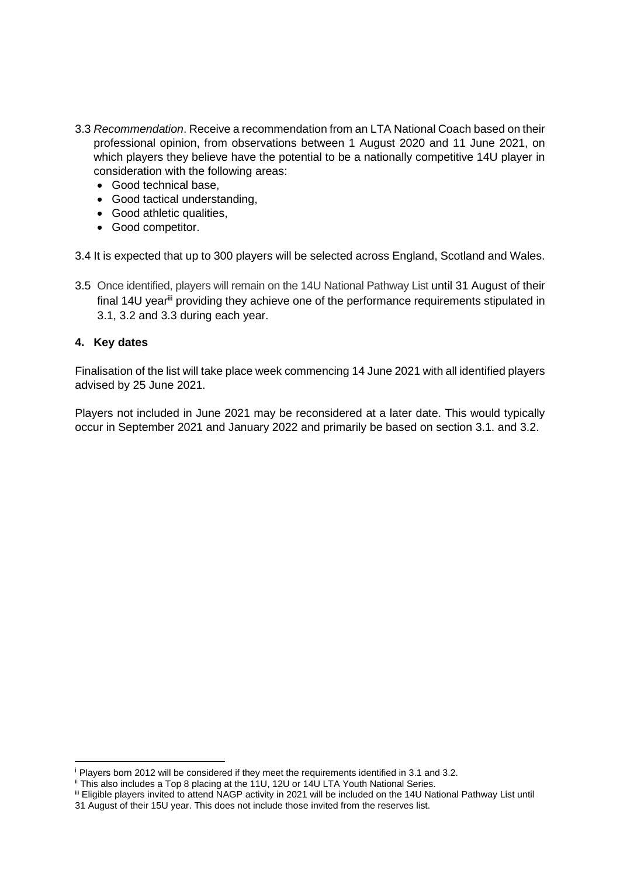- 3.3 *Recommendation*. Receive a recommendation from an LTA National Coach based on their professional opinion, from observations between 1 August 2020 and 11 June 2021, on which players they believe have the potential to be a nationally competitive 14U player in consideration with the following areas:
	- Good technical base,
	- Good tactical understanding,
	- Good athletic qualities,
	- Good competitor.

3.4 It is expected that up to 300 players will be selected across England, Scotland and Wales.

3.5 Once identified, players will remain on the 14U National Pathway List until 31 August of their final 14U year<sup>iii</sup> providing they achieve one of the performance requirements stipulated in 3.1, 3.2 and 3.3 during each year.

### **4. Key dates**

Finalisation of the list will take place week commencing 14 June 2021 with all identified players advised by 25 June 2021.

Players not included in June 2021 may be reconsidered at a later date. This would typically occur in September 2021 and January 2022 and primarily be based on section 3.1. and 3.2.

<sup>&</sup>lt;sup>i</sup> Players born 2012 will be considered if they meet the requirements identified in 3.1 and 3.2.

<sup>&</sup>lt;sup>ii</sup> This also includes a Top 8 placing at the 11U, 12U or 14U LTA Youth National Series.

iii Eligible players invited to attend NAGP activity in 2021 will be included on the 14U National Pathway List until 31 August of their 15U year. This does not include those invited from the reserves list.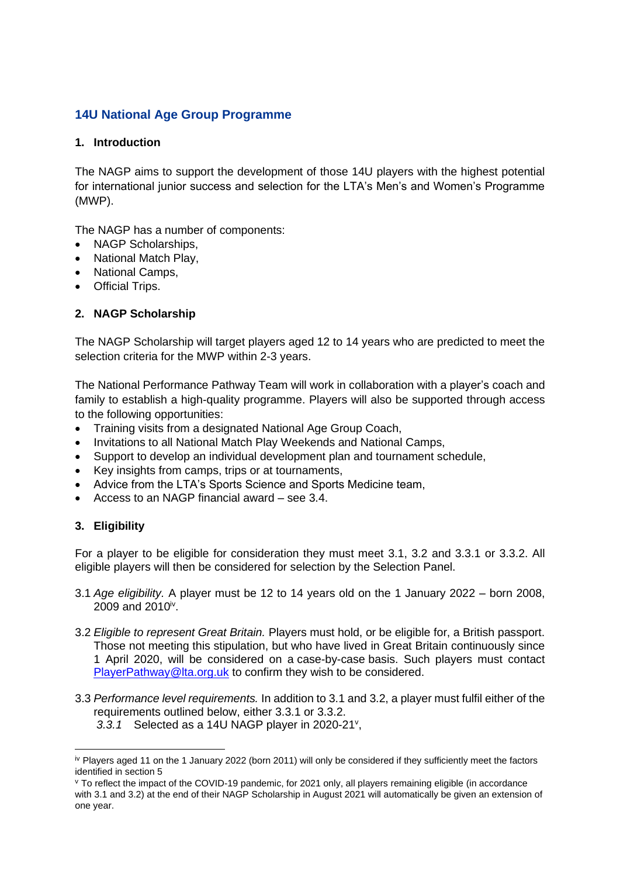# **14U National Age Group Programme**

### **1. Introduction**

The NAGP aims to support the development of those 14U players with the highest potential for international junior success and selection for the LTA's Men's and Women's Programme (MWP).

The NAGP has a number of components:

- NAGP Scholarships,
- National Match Play,
- National Camps,
- Official Trips.

### **2. NAGP Scholarship**

The NAGP Scholarship will target players aged 12 to 14 years who are predicted to meet the selection criteria for the MWP within 2-3 years.

The National Performance Pathway Team will work in collaboration with a player's coach and family to establish a high-quality programme. Players will also be supported through access to the following opportunities:

- Training visits from a designated National Age Group Coach,
- Invitations to all National Match Play Weekends and National Camps,
- Support to develop an individual development plan and tournament schedule,
- Key insights from camps, trips or at tournaments,
- Advice from the LTA's Sports Science and Sports Medicine team,
- Access to an NAGP financial award see 3.4.

### **3. Eligibility**

For a player to be eligible for consideration they must meet 3.1, 3.2 and 3.3.1 or 3.3.2. All eligible players will then be considered for selection by the Selection Panel.

- 3.1 *Age eligibility.* A player must be 12 to 14 years old on the 1 January 2022 born 2008, 2009 and 2010<sup>iv</sup>.
- 3.2 *Eligible to represent Great Britain.* Players must hold, or be eligible for, a British passport. Those not meeting this stipulation, but who have lived in Great Britain continuously since 1 April 2020, will be considered on a case-by-case basis. Such players must contact [PlayerPathway@lta.org.uk](mailto:PlayerPathway@lta.org.uk) to confirm they wish to be considered.
- 3.3 *Performance level requirements.* In addition to 3.1 and 3.2, a player must fulfil either of the requirements outlined below, either 3.3.1 or 3.3.2. 3.3.1 Selected as a 14U NAGP player in 2020-21<sup>v</sup>,

 $\dot{v}$  Players aged 11 on the 1 January 2022 (born 2011) will only be considered if they sufficiently meet the factors identified in section 5

<sup>v</sup> To reflect the impact of the COVID-19 pandemic, for 2021 only, all players remaining eligible (in accordance with 3.1 and 3.2) at the end of their NAGP Scholarship in August 2021 will automatically be given an extension of one year.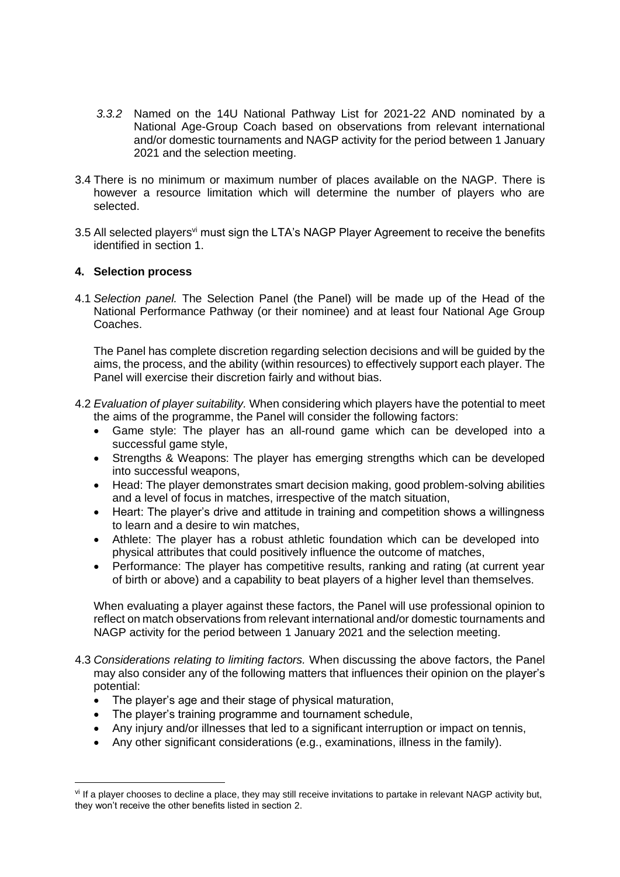- *3.3.2* Named on the 14U National Pathway List for 2021-22 AND nominated by a National Age-Group Coach based on observations from relevant international and/or domestic tournaments and NAGP activity for the period between 1 January 2021 and the selection meeting.
- 3.4 There is no minimum or maximum number of places available on the NAGP. There is however a resource limitation which will determine the number of players who are selected.
- 3.5 All selected players<sup>vi</sup> must sign the LTA's NAGP Player Agreement to receive the benefits identified in section 1.

### **4. Selection process**

4.1 *Selection panel.* The Selection Panel (the Panel) will be made up of the Head of the National Performance Pathway (or their nominee) and at least four National Age Group Coaches.

The Panel has complete discretion regarding selection decisions and will be guided by the aims, the process, and the ability (within resources) to effectively support each player. The Panel will exercise their discretion fairly and without bias.

- 4.2 *Evaluation of player suitability.* When considering which players have the potential to meet the aims of the programme, the Panel will consider the following factors:
	- Game style: The player has an all-round game which can be developed into a successful game style,
	- Strengths & Weapons: The player has emerging strengths which can be developed into successful weapons,
	- Head: The player demonstrates smart decision making, good problem-solving abilities and a level of focus in matches, irrespective of the match situation,
	- Heart: The player's drive and attitude in training and competition shows a willingness to learn and a desire to win matches,
	- Athlete: The player has a robust athletic foundation which can be developed into physical attributes that could positively influence the outcome of matches,
	- Performance: The player has competitive results, ranking and rating (at current year of birth or above) and a capability to beat players of a higher level than themselves.

When evaluating a player against these factors, the Panel will use professional opinion to reflect on match observations from relevant international and/or domestic tournaments and NAGP activity for the period between 1 January 2021 and the selection meeting.

- 4.3 *Considerations relating to limiting factors.* When discussing the above factors, the Panel may also consider any of the following matters that influences their opinion on the player's potential:
	- The player's age and their stage of physical maturation,
	- The player's training programme and tournament schedule,
	- Any injury and/or illnesses that led to a significant interruption or impact on tennis,
	- Any other significant considerations (e.g., examinations, illness in the family).

vi If a player chooses to decline a place, they may still receive invitations to partake in relevant NAGP activity but, they won't receive the other benefits listed in section 2.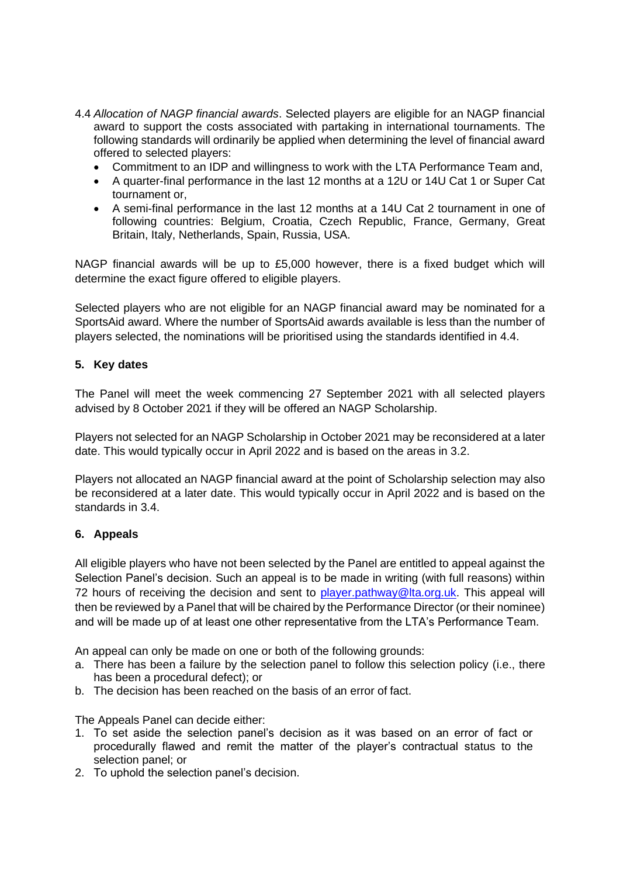- 4.4 *Allocation of NAGP financial awards*. Selected players are eligible for an NAGP financial award to support the costs associated with partaking in international tournaments. The following standards will ordinarily be applied when determining the level of financial award offered to selected players:
	- Commitment to an IDP and willingness to work with the LTA Performance Team and,
	- A quarter-final performance in the last 12 months at a 12U or 14U Cat 1 or Super Cat tournament or,
	- A semi-final performance in the last 12 months at a 14U Cat 2 tournament in one of following countries: Belgium, Croatia, Czech Republic, France, Germany, Great Britain, Italy, Netherlands, Spain, Russia, USA.

NAGP financial awards will be up to £5,000 however, there is a fixed budget which will determine the exact figure offered to eligible players.

Selected players who are not eligible for an NAGP financial award may be nominated for a SportsAid award. Where the number of SportsAid awards available is less than the number of players selected, the nominations will be prioritised using the standards identified in 4.4.

### **5. Key dates**

The Panel will meet the week commencing 27 September 2021 with all selected players advised by 8 October 2021 if they will be offered an NAGP Scholarship.

Players not selected for an NAGP Scholarship in October 2021 may be reconsidered at a later date. This would typically occur in April 2022 and is based on the areas in 3.2.

Players not allocated an NAGP financial award at the point of Scholarship selection may also be reconsidered at a later date. This would typically occur in April 2022 and is based on the standards in 3.4.

### **6. Appeals**

All eligible players who have not been selected by the Panel are entitled to appeal against the Selection Panel's decision. Such an appeal is to be made in writing (with full reasons) within 72 hours of receiving the decision and sent to [player.pathway@lta.org.uk.](mailto:player.pathway@lta.org.uk) This appeal will then be reviewed by a Panel that will be chaired by the Performance Director (or their nominee) and will be made up of at least one other representative from the LTA's Performance Team.

An appeal can only be made on one or both of the following grounds:

- a. There has been a failure by the selection panel to follow this selection policy (i.e., there has been a procedural defect); or
- b. The decision has been reached on the basis of an error of fact.

The Appeals Panel can decide either:

- 1. To set aside the selection panel's decision as it was based on an error of fact or procedurally flawed and remit the matter of the player's contractual status to the selection panel; or
- 2. To uphold the selection panel's decision.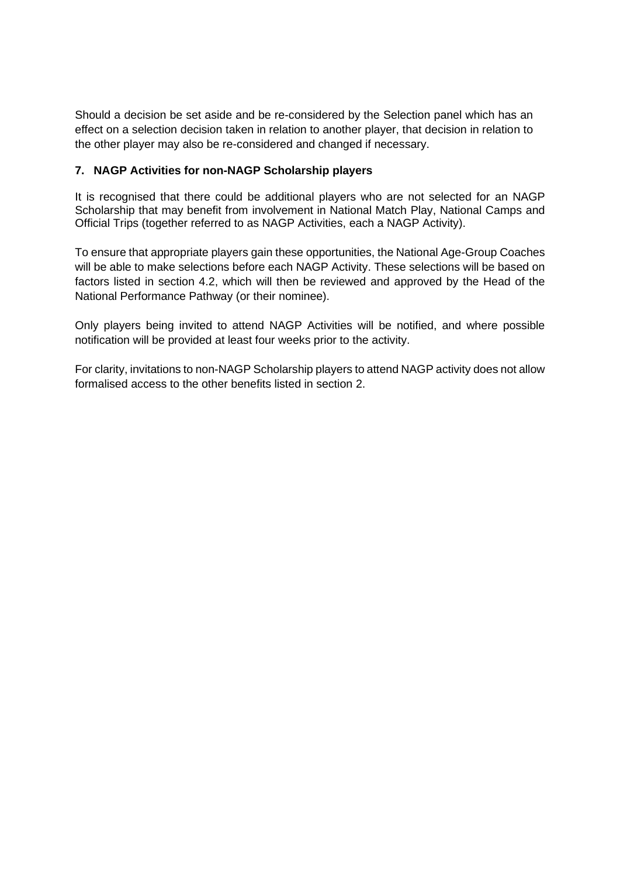Should a decision be set aside and be re-considered by the Selection panel which has an effect on a selection decision taken in relation to another player, that decision in relation to the other player may also be re-considered and changed if necessary.

### **7. NAGP Activities for non-NAGP Scholarship players**

It is recognised that there could be additional players who are not selected for an NAGP Scholarship that may benefit from involvement in National Match Play, National Camps and Official Trips (together referred to as NAGP Activities, each a NAGP Activity).

To ensure that appropriate players gain these opportunities, the National Age-Group Coaches will be able to make selections before each NAGP Activity. These selections will be based on factors listed in section 4.2, which will then be reviewed and approved by the Head of the National Performance Pathway (or their nominee).

Only players being invited to attend NAGP Activities will be notified, and where possible notification will be provided at least four weeks prior to the activity.

For clarity, invitations to non-NAGP Scholarship players to attend NAGP activity does not allow formalised access to the other benefits listed in section 2.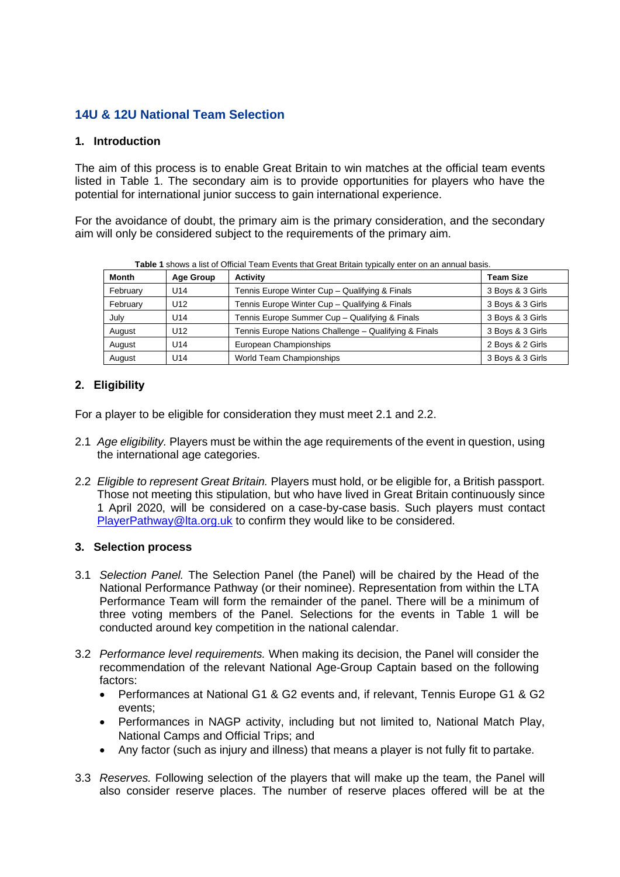## **14U & 12U National Team Selection**

### **1. Introduction**

The aim of this process is to enable Great Britain to win matches at the official team events listed in Table 1. The secondary aim is to provide opportunities for players who have the potential for international junior success to gain international experience.

For the avoidance of doubt, the primary aim is the primary consideration, and the secondary aim will only be considered subject to the requirements of the primary aim.

| <b>Month</b> | <b>Age Group</b> | <b>Activity</b>                                       | <b>Team Size</b> |
|--------------|------------------|-------------------------------------------------------|------------------|
| February     | U <sub>14</sub>  | Tennis Europe Winter Cup - Qualifying & Finals        | 3 Boys & 3 Girls |
| February     | U <sub>12</sub>  | Tennis Europe Winter Cup - Qualifying & Finals        | 3 Boys & 3 Girls |
| July         | U14              | Tennis Europe Summer Cup - Qualifying & Finals        | 3 Boys & 3 Girls |
| August       | U <sub>12</sub>  | Tennis Europe Nations Challenge - Qualifying & Finals | 3 Boys & 3 Girls |
| August       | U <sub>14</sub>  | European Championships                                | 2 Boys & 2 Girls |
| August       | U14              | World Team Championships                              | 3 Boys & 3 Girls |

### **2. Eligibility**

For a player to be eligible for consideration they must meet 2.1 and 2.2.

- 2.1 *Age eligibility.* Players must be within the age requirements of the event in question, using the international age categories.
- 2.2 *Eligible to represent Great Britain.* Players must hold, or be eligible for, a British passport. Those not meeting this stipulation, but who have lived in Great Britain continuously since 1 April 2020, will be considered on a case-by-case basis. Such players must contact [PlayerPathway@lta.org.uk](mailto:PlayerPathway@lta.org.uk) to confirm they would like to be considered.

#### **3. Selection process**

- 3.1 *Selection Panel.* The Selection Panel (the Panel) will be chaired by the Head of the National Performance Pathway (or their nominee). Representation from within the LTA Performance Team will form the remainder of the panel. There will be a minimum of three voting members of the Panel. Selections for the events in Table 1 will be conducted around key competition in the national calendar.
- 3.2 *Performance level requirements.* When making its decision, the Panel will consider the recommendation of the relevant National Age-Group Captain based on the following factors:
	- Performances at National G1 & G2 events and, if relevant, Tennis Europe G1 & G2 events;
	- Performances in NAGP activity, including but not limited to, National Match Play, National Camps and Official Trips; and
	- Any factor (such as injury and illness) that means a player is not fully fit to partake.
- 3.3 *Reserves.* Following selection of the players that will make up the team, the Panel will also consider reserve places. The number of reserve places offered will be at the